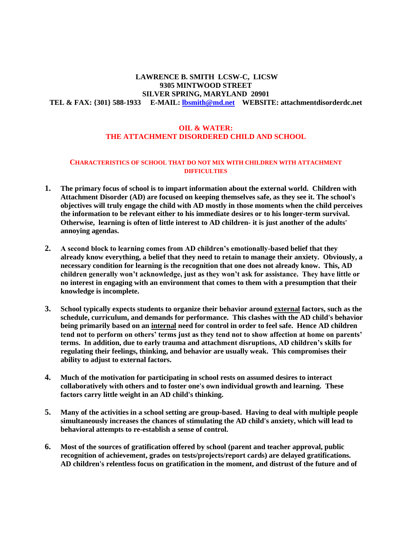# **LAWRENCE B. SMITH LCSW-C, LICSW 9305 MINTWOOD STREET SILVER SPRING, MARYLAND 20901 TEL & FAX: {301} 588-1933 E-MAIL: [lbsmith@md.net](mailto:lbsmith@md.net) WEBSITE: attachmentdisorderdc.net**

### **OIL & WATER: THE ATTACHMENT DISORDERED CHILD AND SCHOOL**

#### **CHARACTERISTICS OF SCHOOL THAT DO NOT MIX WITH CHILDREN WITH ATTACHMENT DIFFICULTIES**

- **1. The primary focus of school is to impart information about the external world. Children with Attachment Disorder (AD) are focused on keeping themselves safe, as they see it. The school's objectives will truly engage the child with AD mostly in those moments when the child perceives the information to be relevant either to his immediate desires or to his longer-term survival. Otherwise, learning is often of little interest to AD children- it is just another of the adults' annoying agendas.**
- **2. A second block to learning comes from AD children's emotionally-based belief that they already know everything, a belief that they need to retain to manage their anxiety. Obviously, a necessary condition for learning is the recognition that one does not already know. This, AD children generally won't acknowledge, just as they won't ask for assistance. They have little or no interest in engaging with an environment that comes to them with a presumption that their knowledge is incomplete.**
- **3. School typically expects students to organize their behavior around external factors, such as the schedule, curriculum, and demands for performance. This clashes with the AD child's behavior being primarily based on an internal need for control in order to feel safe. Hence AD children tend not to perform on others' terms just as they tend not to show affection at home on parents' terms. In addition, due to early trauma and attachment disruptions, AD children's skills for regulating their feelings, thinking, and behavior are usually weak. This compromises their ability to adjust to external factors.**
- **4. Much of the motivation for participating in school rests on assumed desires to interact collaboratively with others and to foster one's own individual growth and learning. These factors carry little weight in an AD child's thinking.**
- **5. Many of the activities in a school setting are group-based. Having to deal with multiple people simultaneously increases the chances of stimulating the AD child's anxiety, which will lead to behavioral attempts to re-establish a sense of control.**
- **6. Most of the sources of gratification offered by school (parent and teacher approval, public recognition of achievement, grades on tests/projects/report cards) are delayed gratifications. AD children's relentless focus on gratification in the moment, and distrust of the future and of**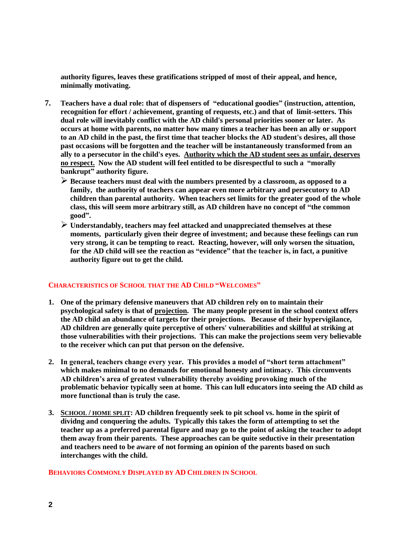**authority figures, leaves these gratifications stripped of most of their appeal, and hence, minimally motivating.**

- **7. Teachers have a dual role: that of dispensers of "educational goodies" (instruction, attention, recognition for effort / achievement, granting of requests, etc.) and that of limit-setters. This dual role will inevitably conflict with the AD child's personal priorities sooner or later. As occurs at home with parents, no matter how many times a teacher has been an ally or support to an AD child in the past, the first time that teacher blocks the AD student's desires, all those past occasions will be forgotten and the teacher will be instantaneously transformed from an ally to a persecutor in the child's eyes. Authority which the AD student sees as unfair, deserves no respect. Now the AD student will feel entitled to be disrespectful to such a "morally bankrupt" authority figure.**
	- ➢ **Because teachers must deal with the numbers presented by a classroom, as opposed to a family, the authority of teachers can appear even more arbitrary and persecutory to AD children than parental authority. When teachers set limits for the greater good of the whole class, this will seem more arbitrary still, as AD children have no concept of "the common good".**
	- ➢ **Understandably, teachers may feel attacked and unappreciated themselves at these moments, particularly given their degree of investment; and because these feelings can run very strong, it can be tempting to react. Reacting, however, will only worsen the situation, for the AD child will see the reaction as "evidence" that the teacher is, in fact, a punitive authority figure out to get the child.**

### **CHARACTERISTICS OF SCHOOL THAT THE AD CHILD "WELCOMES"**

- **1. One of the primary defensive maneuvers that AD children rely on to maintain their psychological safety is that of projection. The many people present in the school context offers the AD child an abundance of targets for their projections. Because of their hypervigilance, AD children are generally quite perceptive of others' vulnerabilities and skillful at striking at those vulnerabilities with their projections. This can make the projections seem very believable to the receiver which can put that person on the defensive.**
- **2. In general, teachers change every year. This provides a model of "short term attachment" which makes minimal to no demands for emotional honesty and intimacy. This circumvents AD children's area of greatest vulnerability thereby avoiding provoking much of the problematic behavior typically seen at home. This can lull educators into seeing the AD child as more functional than is truly the case.**
- **3. SCHOOL / HOME SPLIT: AD children frequently seek to pit school vs. home in the spirit of dividng and conquering the adults. Typically this takes the form of attempting to set the teacher up as a preferred parental figure and may go to the point of asking the teacher to adopt them away from their parents. These approaches can be quite seductive in their presentation and teachers need to be aware of not forming an opinion of the parents based on such interchanges with the child.**

**BEHAVIORS COMMONLY DISPLAYED BY AD CHILDREN IN SCHOOL**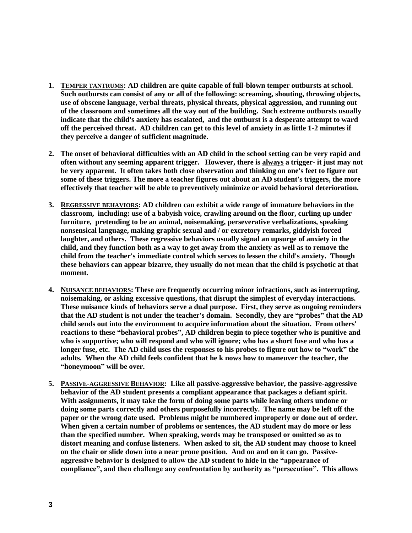- **1. TEMPER TANTRUMS: AD children are quite capable of full-blown temper outbursts at school. Such outbursts can consist of any or all of the following: screaming, shouting, throwing objects, use of obscene language, verbal threats, physical threats, physical aggression, and running out of the classroom and sometimes all the way out of the building. Such extreme outbursts usually indicate that the child's anxiety has escalated, and the outburst is a desperate attempt to ward off the perceived threat. AD children can get to this level of anxiety in as little 1-2 minutes if they perceive a danger of sufficient magnitude.**
- **2. The onset of behavioral difficulties with an AD child in the school setting can be very rapid and often without any seeming apparent trigger. However, there is always a trigger- it just may not be very apparent. It often takes both close observation and thinking on one's feet to figure out some of these triggers. The more a teacher figures out about an AD student's triggers, the more effectively that teacher will be able to preventively minimize or avoid behavioral deterioration.**
- **3. REGRESSIVE BEHAVIORS: AD children can exhibit a wide range of immature behaviors in the classroom, including: use of a babyish voice, crawling around on the floor, curling up under furniture, pretending to be an animal, noisemaking, perseverative verbalizations, speaking nonsensical language, making graphic sexual and / or excretory remarks, giddyish forced laughter, and others. These regressive behaviors usually signal an upsurge of anxiety in the child, and they function both as a way to get away from the anxiety as well as to remove the child from the teacher's immediate control which serves to lessen the child's anxiety. Though these behaviors can appear bizarre, they usually do not mean that the child is psychotic at that moment.**
- **4. NUISANCE BEHAVIORS: These are frequently occurring minor infractions, such as interrupting, noisemaking, or asking excessive questions, that disrupt the simplest of everyday interactions. These nuisance kinds of behaviors serve a dual purpose. First, they serve as ongoing reminders that the AD student is not under the teacher's domain. Secondly, they are "probes" that the AD child sends out into the environment to acquire information about the situation. From others' reactions to these "behavioral probes", AD children begin to piece together who is punitive and who is supportive; who will respond and who will ignore; who has a short fuse and who has a longer fuse, etc. The AD child uses the responses to his probes to figure out how to "work" the adults. When the AD child feels confident that he k nows how to maneuver the teacher, the "honeymoon" will be over.**
- **5. PASSIVE-AGGRESSIVE BEHAVIOR: Like all passive-aggressive behavior, the passive-aggressive behavior of the AD student presents a compliant appearance that packages a defiant spirit. With assignments, it may take the form of doing some parts while leaving others undone or doing some parts correctly and others purposefully incorrectly. The name may be left off the paper or the wrong date used. Problems might be numbered improperly or done out of order. When given a certain number of problems or sentences, the AD student may do more or less than the specified number. When speaking, words may be transposed or omitted so as to distort meaning and confuse listeners. When asked to sit, the AD student may choose to kneel on the chair or slide down into a near prone position. And on and on it can go. Passiveaggressive behavior is designed to allow the AD student to hide in the "appearance of compliance", and then challenge any confrontation by authority as "persecution". This allows**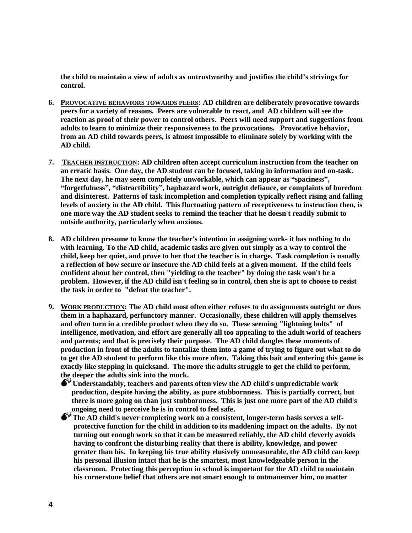**the child to maintain a view of adults as untrustworthy and justifies the child's strivings for control.** 

- **6. PROVOCATIVE BEHAVIORS TOWARDS PEERS: AD children are deliberately provocative towards peers for a variety of reasons. Peers are vulnerable to react, and AD children will see the reaction as proof of their power to control others. Peers will need support and suggestions from adults to learn to minimize their responsiveness to the provocations. Provocative behavior, from an AD child towards peers, is almost impossible to eliminate solely by working with the AD child.**
- **7. TEACHER INSTRUCTION: AD children often accept curriculum instruction from the teacher on an erratic basis. One day, the AD student can be focused, taking in information and on-task. The next day, he may seem completely unworkable, which can appear as "spaciness", "forgetfulness", "distractibility", haphazard work, outright defiance, or complaints of boredom and disinterest. Patterns of task incompletion and completion typically reflect rising and falling levels of anxiety in the AD child. This fluctuating pattern of receptiveness to instruction then, is one more way the AD student seeks to remind the teacher that he doesn't readily submit to outside authority, particularly when anxious.**
- **8. AD children presume to know the teacher's intention in assigning work- it has nothing to do with learning. To the AD child, academic tasks are given out simply as a way to control the child, keep her quiet, and prove to her that the teacher is in charge. Task completion is usually a reflection of how secure or insecure the AD child feels at a given moment. If the child feels confident about her control, then "yielding to the teacher" by doing the task won't be a problem. However, if the AD child isn't feeling so in control, then she is apt to choose to resist the task in order to "defeat the teacher".**
- **9. WORK PRODUCTION: The AD child most often either refuses to do assignments outright or does them in a haphazard, perfunctory manner. Occasionally, these children will apply themselves and often turn in a credible product when they do so. These seeming "lightning bolts" of intelligence, motivation, and effort are generally all too appealing to the adult world of teachers and parents; and that is precisely their purpose. The AD child dangles these moments of production in front of the adults to tantalize them into a game of trying to figure out what to do to get the AD student to perform like this more often. Taking this bait and entering this game is exactly like stepping in quicksand. The more the adults struggle to get the child to perform, the deeper the adults sink into the muck.**

**Understandably, teachers and parents often view the AD child's unpredictable work production, despite having the ability, as pure stubbornness. This is partially correct, but there is more going on than just stubbornness. This is just one more part of the AD child's ongoing need to perceive he is in control to feel safe.**

**The AD child's never completing work on a consistent, longer-term basis serves a self protective function for the child in addition to its maddening impact on the adults. By not turning out enough work so that it can be measured reliably, the AD child cleverly avoids having to confront the disturbing reality that there is ability, knowledge, and power greater than his. In keeping his true ability elusively unmeasurable, the AD child can keep his personal illusion intact that he is the smartest, most knowledgeable person in the classroom. Protecting this perception in school is important for the AD child to maintain his cornerstone belief that others are not smart enough to outmaneuver him, no matter**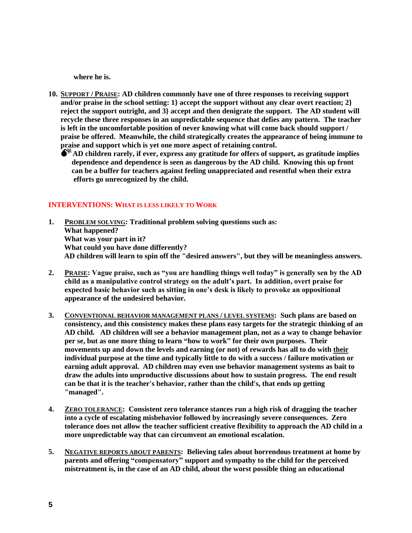**where he is.**

- **10. SUPPORT / PRAISE: AD children commonly have one of three responses to receiving support and/or praise in the school setting: 1} accept the support without any clear overt reaction; 2} reject the support outright, and 3} accept and then denigrate the support. The AD student will recycle these three responses in an unpredictable sequence that defies any pattern. The teacher is left in the uncomfortable position of never knowing what will come back should support / praise be offered. Meanwhile, the child strategically creates the appearance of being immune to praise and support which is yet one more aspect of retaining control.** 
	- **AD children rarely, if ever, express any gratitude for offers of support, as gratitude implies dependence and dependence is seen as dangerous by the AD child. Knowing this up front can be a buffer for teachers against feeling unappreciated and resentful when their extra efforts go unrecognized by the child.**

### **INTERVENTIONS: WHAT IS LESS LIKELY TO WORK**

- **1. PROBLEM SOLVING: Traditional problem solving questions such as: What happened? What was your part in it? What could you have done differently? AD children will learn to spin off the "desired answers", but they will be meaningless answers.**
- **2. PRAISE: Vague praise, such as "you are handling things well today" is generally sen by the AD child as a manipulative control strategy on the adult's part. In addition, overt praise for expected basic behavior such as sitting in one's desk is likely to provoke an oppositional appearance of the undesired behavior.**
- **3. CONVENTIONAL BEHAVIOR MANAGEMENT PLANS / LEVEL SYSTEMS: Such plans are based on consistency, and this consistency makes these plans easy targets for the strategic thinking of an AD child. AD children will see a behavior management plan, not as a way to change behavior per se, but as one more thing to learn "how to work" for their own purposes. Their movements up and down the levels and earning (or not) of rewards has all to do with their individual purpose at the time and typically little to do with a success / failure motivation or earning adult approval. AD children may even use behavior management systems as bait to draw the adults into unproductive discussions about how to sustain progress. The end result can be that it is the teacher's behavior, rather than the child's, that ends up getting "managed".**
- **4. ZERO TOLERANCE: Consistent zero tolerance stances run a high risk of dragging the teacher into a cycle of escalating misbehavior followed by increasingly severe consequences. Zero tolerance does not allow the teacher sufficient creative flexibility to approach the AD child in a more unpredictable way that can circumvent an emotional escalation.**
- **5. NEGATIVE REPORTS ABOUT PARENTS: Believing tales about horrendous treatment at home by parents and offering "compensatory" support and sympathy to the child for the perceived mistreatment is, in the case of an AD child, about the worst possible thing an educational**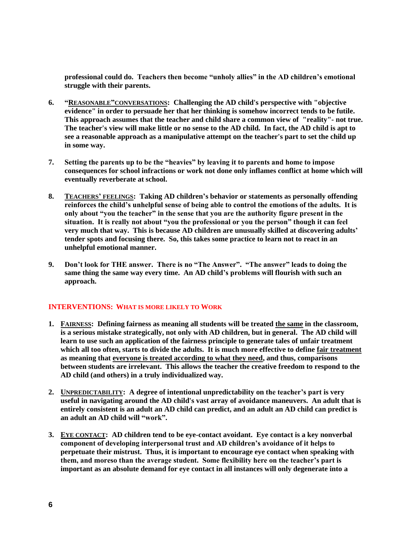**professional could do. Teachers then become "unholy allies" in the AD children's emotional struggle with their parents.**

- **6. "REASONABLE"CONVERSATIONS: Challenging the AD child's perspective with "objective evidence" in order to persuade her that her thinking is somehow incorrect tends to be futile. This approach assumes that the teacher and child share a common view of "reality"- not true. The teacher's view will make little or no sense to the AD child. In fact, the AD child is apt to see a reasonable approach as a manipulative attempt on the teacher's part to set the child up in some way.**
- **7. Setting the parents up to be the "heavies" by leaving it to parents and home to impose consequences for school infractions or work not done only inflames conflict at home which will eventually reverberate at school.**
- **8. TEACHERS' FEELINGS: Taking AD children's behavior or statements as personally offending reinforces the child's unhelpful sense of being able to control the emotions of the adults. It is only about "you the teacher" in the sense that you are the authority figure present in the situation. It is really not about "you the professional or you the person" though it can feel very much that way. This is because AD children are unusually skilled at discovering adults' tender spots and focusing there. So, this takes some practice to learn not to react in an unhelpful emotional manner.**
- **9. Don't look for THE answer. There is no "The Answer". "The answer" leads to doing the same thing the same way every time. An AD child's problems will flourish with such an approach.**

## **INTERVENTIONS: WHAT IS MORE LIKELY TO WORK**

- **1. FAIRNESS: Defining fairness as meaning all students will be treated the same in the classroom, is a serious mistake strategically, not only with AD children, but in general. The AD child will learn to use such an application of the fairness principle to generate tales of unfair treatment which all too often, starts to divide the adults. It is much more effective to define fair treatment as meaning that everyone is treated according to what they need, and thus, comparisons between students are irrelevant. This allows the teacher the creative freedom to respond to the AD child (and others) in a truly individualized way.**
- **2. UNPREDICTABILITY: A degree of intentional unpredictability on the teacher's part is very useful in navigating around the AD child's vast array of avoidance maneuvers. An adult that is entirely consistent is an adult an AD child can predict, and an adult an AD child can predict is an adult an AD child will "work".**
- **3. EYE CONTACT: AD children tend to be eye-contact avoidant. Eye contact is a key nonverbal component of developing interpersonal trust and AD children's avoidance of it helps to perpetuate their mistrust. Thus, it is important to encourage eye contact when speaking with them, and moreso than the average student. Some flexibility here on the teacher's part is important as an absolute demand for eye contact in all instances will only degenerate into a**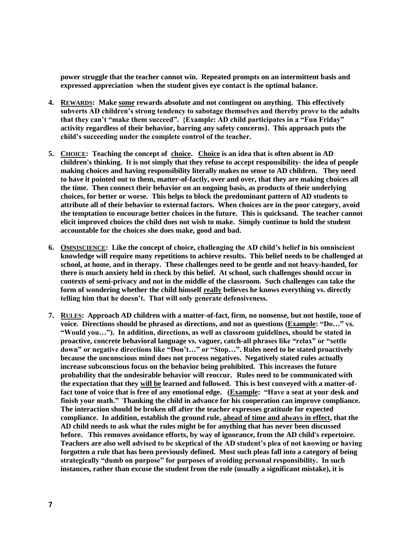**power struggle that the teacher cannot win. Repeated prompts on an intermittent basis and expressed appreciation when the student gives eye contact is the optimal balance.**

- **4. REWARDS: Make some rewards absolute and not contingent on anything. This effectively subverts AD children's strong tendency to sabotage themselves and thereby prove to the adults that they can't "make them succeed". {Example: AD child participates in a "Fun Friday" activity regardless of their behavior, barring any safety concerns}. This approach puts the child's succeeding under the complete control of the teacher.**
- **5. CHOICE: Teaching the concept of choice. Choice is an idea that is often absent in AD children's thinking. It is not simply that they refuse to accept responsibility- the idea of people making choices and having responsibility literally makes no sense to AD children. They need to have it pointed out to them, matter-of-factly, over and over, that they are making choices all the time. Then connect their behavior on an ongoing basis, as products of their underlying choices, for better or worse. This helps to block the predominant pattern of AD students to attribute all of their behavior to external factors. When choices are in the poor category, avoid the temptation to encourage better choices in the future. This is quicksand. The teacher cannot elicit improved choices the child does not wish to make. Simply continue to hold the student accountable for the choices she does make, good and bad.**
- **6. OMNISCIENCE: Like the concept of choice, challenging the AD child's belief in his omniscient knowledge will require many repetitions to achieve results. This belief needs to be challenged at school, at home, and in therapy. These challenges need to be gentle and not heavy-handed, for there is much anxiety held in check by this belief. At school, such challenges should occur in contexts of semi-privacy and not in the middle of the classroom. Such challenges can take the form of wondering whether the child himself really believes he knows everything vs. directly telling him that he doesn't. That will only generate defensiveness.**
- **7. RULES: Approach AD children with a matter-of-fact, firm, no nonsense, but not hostile, tone of voice. Directions should be phrased as directions, and not as questions (Example: "Do…" vs. "Would you…"). In addition, directions, as well as classroom guidelines, should be stated in proactive, concrete behavioral language vs. vaguer, catch-all phrases like "relax" or "settle down" or negative directions like "Don't…" or "Stop…". Rules need to be stated proactively because the unconscious mind does not process negatives. Negatively stated rules actually increase subconscious focus on the behavior being prohibited. This increases the future probability that the undesirable behavior will reoccur. Rules need to be communicated with the expectation that they will be learned and followed. This is best conveyed with a matter-offact tone of voice that is free of any emotional edge. (Example: "Have a seat at your desk and finish your math." Thanking the child in advance for his cooperation can improve compliance. The interaction should be broken off after the teacher expresses gratitude for expected compliance. In addition, establish the ground rule, ahead of time and always in effect, that the AD child needs to ask what the rules might be for anything that has never been discussed before. This removes avoidance efforts, by way of ignorance, from the AD child's repertoire. Teachers are also well advised to be skeptical of the AD student's plea of not knowing or having forgotten a rule that has been previously defined. Most such pleas fall into a category of being strategically "dumb on purpose" for purposes of avoiding personal responsibility. In such instances, rather than excuse the student from the rule (usually a significant mistake), it is**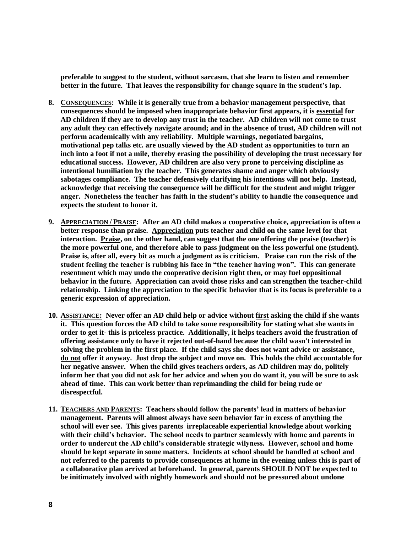**preferable to suggest to the student, without sarcasm, that she learn to listen and remember better in the future. That leaves the responsibility for change square in the student's lap.** 

- **8. CONSEQUENCES: While it is generally true from a behavior management perspective, that consequences should be imposed when inappropriate behavior first appears, it is essential for AD children if they are to develop any trust in the teacher. AD children will not come to trust any adult they can effectively navigate around; and in the absence of trust, AD children will not perform academically with any reliability. Multiple warnings, negotiated bargains, motivational pep talks etc. are usually viewed by the AD student as opportunities to turn an inch into a foot if not a mile, thereby erasing the possibility of developing the trust necessary for educational success. However, AD children are also very prone to perceiving discipline as intentional humiliation by the teacher. This generates shame and anger which obviously sabotages compliance. The teacher defensively clarifying his intentions will not help. Instead, acknowledge that receiving the consequence will be difficult for the student and might trigger anger. Nonetheless the teacher has faith in the student's ability to handle the consequence and expects the student to honor it.**
- **9. APPRECIATION / PRAISE: After an AD child makes a cooperative choice, appreciation is often a better response than praise. Appreciation puts teacher and child on the same level for that interaction. Praise, on the other hand, can suggest that the one offering the praise (teacher) is the more powerful one, and therefore able to pass judgment on the less powerful one (student). Praise is, after all, every bit as much a judgment as is criticism. Praise can run the risk of the student feeling the teacher is rubbing his face in "the teacher having won". This can generate resentment which may undo the cooperative decision right then, or may fuel oppositional behavior in the future. Appreciation can avoid those risks and can strengthen the teacher-child relationship. Linking the appreciation to the specific behavior that is its focus is preferable to a generic expression of appreciation.**
- **10. ASSISTANCE: Never offer an AD child help or advice without first asking the child if she wants it. This question forces the AD child to take some responsibility for stating what she wants in order to get it- this is priceless practice. Additionally, it helps teachers avoid the frustration of offering assistance only to have it rejected out-of-hand because the child wasn't interested in solving the problem in the first place. If the child says she does not want advice or assistance, do not offer it anyway. Just drop the subject and move on. This holds the child accountable for her negative answer. When the child gives teachers orders, as AD children may do, politely inform her that you did not ask for her advice and when you do want it, you will be sure to ask ahead of time. This can work better than reprimanding the child for being rude or disrespectful.**
- **11. TEACHERS AND PARENTS: Teachers should follow the parents' lead in matters of behavior management. Parents will almost always have seen behavior far in excess of anything the school will ever see. This gives parents irreplaceable experiential knowledge about working with their child's behavior. The school needs to partner seamlessly with home and parents in order to undercut the AD child's considerable strategic wilyness. However, school and home should be kept separate in some matters. Incidents at school should be handled at school and not referred to the parents to provide consequences at home in the evening unless this is part of a collaborative plan arrived at beforehand. In general, parents SHOULD NOT be expected to be initimately involved with nightly homework and should not be pressured about undone**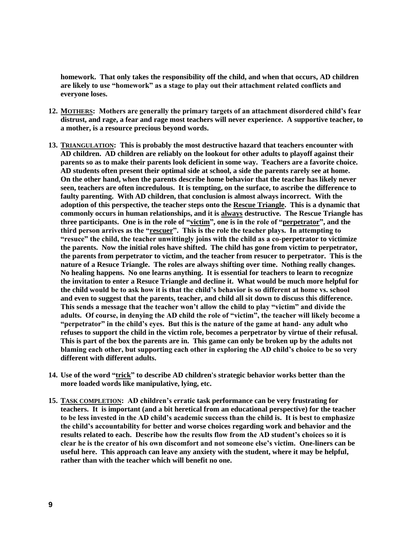**homework. That only takes the responsibility off the child, and when that occurs, AD children are likely to use "homework" as a stage to play out their attachment related conflicts and everyone loses.** 

- **12. MOTHERS: Mothers are generally the primary targets of an attachment disordered child's fear distrust, and rage, a fear and rage most teachers will never experience. A supportive teacher, to a mother, is a resource precious beyond words.**
- **13. TRIANGULATION: This is probably the most destructive hazard that teachers encounter with AD children. AD children are reliably on the lookout for other adults to playoff against their parents so as to make their parents look deficient in some way. Teachers are a favorite choice. AD students often present their optimal side at school, a side the parents rarely see at home. On the other hand, when the parents describe home behavior that the teacher has likely never seen, teachers are often incredulous. It is tempting, on the surface, to ascribe the difference to faulty parenting. With AD children, that conclusion is almost always incorrect. With the adoption of this perspective, the teacher steps onto the Rescue Triangle. This is a dynamic that commonly occurs in human relationships, and it is always destructive. The Rescue Triangle has three participants. One is in the role of "victim", one is in the role of "perpetrator", and the third person arrives as the "rescuer". This is the role the teacher plays. In attempting to "resuce" the child, the teacher unwittingly joins with the child as a co-perpetrator to victimize the parents. Now the initial roles have shifted. The child has gone from victim to perpetrator, the parents from perpetrator to victim, and the teacher from resucer to perpetrator. This is the nature of a Resuce Triangle. The roles are always shifting over time. Nothing really changes. No healing happens. No one learns anything. It is essential for teachers to learn to recognize the invitation to enter a Resuce Triangle and decline it. What would be much more helpful for the child would be to ask how it is that the child's behavior is so different at home vs. school and even to suggest that the parents, teacher, and child all sit down to discuss this difference. This sends a message that the teacher won't allow the child to play "victim" and divide the adults. Of course, in denying the AD child the role of "victim", the teacher will likely become a "perpetrator" in the child's eyes. But this is the nature of the game at hand- any adult who refuses to support the child in the victim role, becomes a perpetrator by virtue of their refusal. This is part of the box the parents are in. This game can only be broken up by the adults not blaming each other, but supporting each other in exploring the AD child's choice to be so very different with different adults.**
- **14. Use of the word "trick" to describe AD children's strategic behavior works better than the more loaded words like manipulative, lying, etc.**
- **15. TASK COMPLETION: AD children's erratic task performance can be very frustrating for teachers. It is important (and a bit heretical from an educational perspective) for the teacher to be less invested in the AD child's academic success than the child is. It is best to emphasize the child's accountability for better and worse choices regarding work and behavior and the results related to each. Describe how the results flow from the AD student's choices so it is clear he is the creator of his own discomfort and not someone else's victim. One-liners can be useful here. This approach can leave any anxiety with the student, where it may be helpful, rather than with the teacher which will benefit no one.**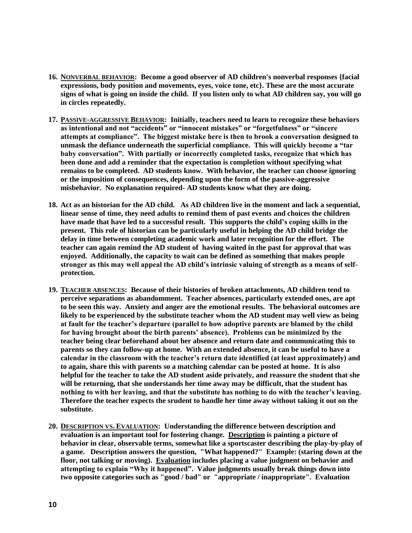- **16. NONVERBAL BEHAVIOR: Become a good observer of AD children's nonverbal responses {facial expressions, body position and movements, eyes, voice tone, etc}. These are the most accurate signs of what is going on inside the child. If you listen only to what AD children say, you will go in circles repeatedly.**
- **17. PASSIVE-AGGRESSIVE BEHAVIOR: Initially, teachers need to learn to recognize these behaviors as intentional and not "accidents" or "innocent mistakes" or "forgetfulness" or "sincere attempts at compliance". The biggest mistake here is then to brook a conversation designed to unmask the defiance underneath the superficial compliance. This will quickly become a "tar baby conversation". With partially or incorrectly completed tasks, recognize that which has been done and add a reminder that the expectation is completion without specifying what remains to be completed. AD students know. With behavior, the teacher can choose ignoring or the imposition of consequences, depending upon the form of the passive-aggressive misbehavior. No explanation required- AD students know what they are doing.**
- **18. Act as an historian for the AD child. As AD children live in the moment and lack a sequential, linear sense of time, they need adults to remind them of past events and choices the children have made that have led to a successful result. This supports the child's coping skills in the present. This role of historian can be particularly useful in helping the AD child bridge the delay in time between completing academic work and later recognition for the effort. The teacher can again remind the AD student of having waited in the past for approval that was enjoyed. Additionally, the capacity to wait can be defined as something that makes people stronger as this may well appeal the AD child's intrinsic valuing of strength as a means of selfprotection.**
- **19. TEACHER ABSENCES: Because of their histories of broken attachments, AD children tend to perceive separations as abandomment. Teacher absences, particularly extended ones, are apt to be seen this way. Anxiety and anger are the emotional results. The behavioral outcomes are likely to be experienced by the substitute teacher whom the AD student may well view as being at fault for the teacher's departure (parallel to how adoptive parents are blamed by the child for having brought about the birth parents' absence). Problems can be minimized by the teacher being clear beforehand about her absence and return date and communicating this to parents so they can follow-up at home. With an extended absence, it can be useful to have a calendar in the classroom with the teacher's return date identified (at least approximately) and to again, share this with parents so a matching calendar can be posted at home. It is also helpful for the teacher to take the AD student aside privately, and reassure the student that she will be returning, that she understands her time away may be difficult, that the student has nothing to with her leaving, and that the substitute has nothing to do with the teacher's leaving. Therefore the teacher expects the srudent to handle her time away without taking it out on the substitute.**
- **20. DESCRIPTION VS. EVALUATION: Understanding the difference between description and evaluation is an important tool for fostering change. Description is painting a picture of behavior in clear, observable terms, somewhat like a sportscaster describing the play-by-play of a game. Description answers the question, "What happened?" Example: (staring down at the floor, not talking or moving). Evaluation includes placing a value judgment on behavior and attempting to explain "Why it happened". Value judgments usually break things down into two opposite categories such as "good / bad" or "appropriate / inappropriate". Evaluation**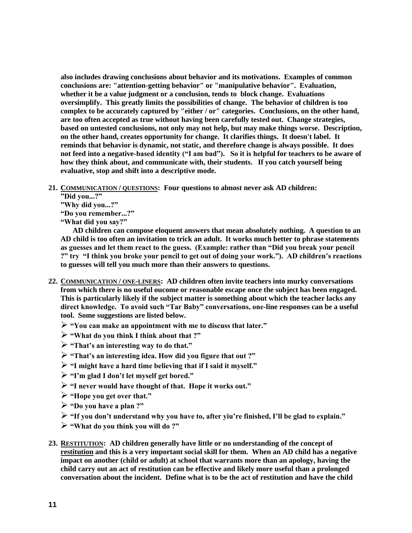**also includes drawing conclusions about behavior and its motivations. Examples of common conclusions are: "attention-getting behavior" or "manipulative behavior". Evaluation, whether it be a value judgment or a conclusion, tends to block change. Evaluations oversimplify. This greatly limits the possibilities of change. The behavior of children is too complex to be accurately captured by "either / or" categories. Conclusions, on the other hand, are too often accepted as true without having been carefully tested out. Change strategies, based on untested conclusions, not only may not help, but may make things worse. Description, on the other hand, creates opportunity for change. It clarifies things. It doesn't label. It reminds that behavior is dynamic, not static, and therefore change is always possible. It does not feed into a negative-based identity ("I am bad"). So it is helpful for teachers to be aware of how they think about, and communicate with, their students. If you catch yourself being evaluative, stop and shift into a descriptive mode.**

- **21. COMMUNICATION / QUESTIONS: Four questions to almost never ask AD children:**
	- **"Did you...?"**
	- **"Why did you...?"**

**"Do you remember...?"**

**"What did you say?"**

**AD children can compose eloquent answers that mean absolutely nothing. A question to an AD child is too often an invitation to trick an adult. It works much better to phrase statements as guesses and let them react to the guess. (Example: rather than "Did you break your pencil ?" try "I think you broke your pencil to get out of doing your work."). AD children's reactions to guesses will tell you much more than their answers to questions.**

- **22. COMMUNICATION / ONE-LINERS: AD children often invite teachers into murky conversations from which there is no useful oucome or reasonable escape once the subject has been engaged. This is particularly likely if the subject matter is something about which the teacher lacks any direct knowledge. To avoid such "Tar Baby" conversations, one-line responses can be a useful tool. Some suggestions are listed below.**
	- ➢ **"You can make an appointment with me to discuss that later."**
	- ➢ **"What do you think I think about that ?"**
	- ➢ **"That's an interesting way to do that."**
	- ➢ **"That's an interesting idea. How did you figure that out ?"**
	- ➢ **"I might have a hard time believing that if I said it myself."**
	- ➢ **"I'm glad I don't let myself get bored."**
	- ➢ **"I never would have thought of that. Hope it works out."**
	- ➢ **"Hope you get over that."**
	- ➢ **"Do you have a plan ?"**
	- ➢ **"If you don't understand why you have to, after yiu're finished, I'll be glad to explain."**
	- ➢ **"What do you think you will do ?"**
- **23. RESTITUTION: AD children generally have little or no understanding of the concept of restitution and this is a very important social skill for them. When an AD child has a negative impact on another (child or adult) at school that warrants more than an apology, having the child carry out an act of restitution can be effective and likely more useful than a prolonged conversation about the incident. Define what is to be the act of restitution and have the child**